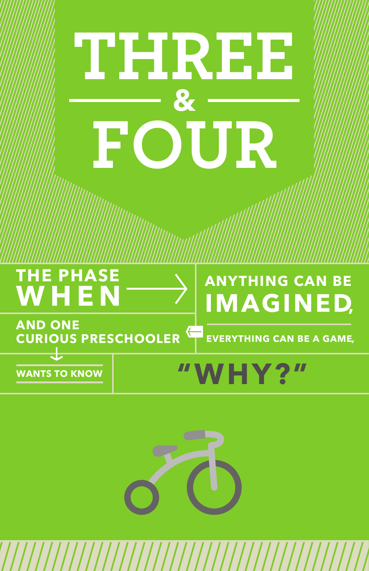## **ANYTHING CAN BE IMAGINED, EVERYTHING CAN BE A GAME, AND ONE CURIOUS PRESCHOOLER** WANTS TO KNOW **WANTS TO KNOW THE SAME OF THE VEHICLE THREE & FOUR THE PHASE WHEN**

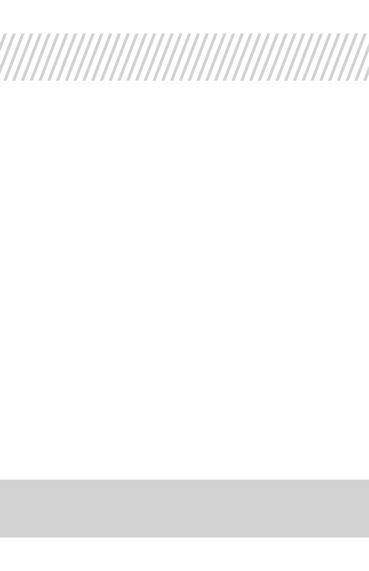#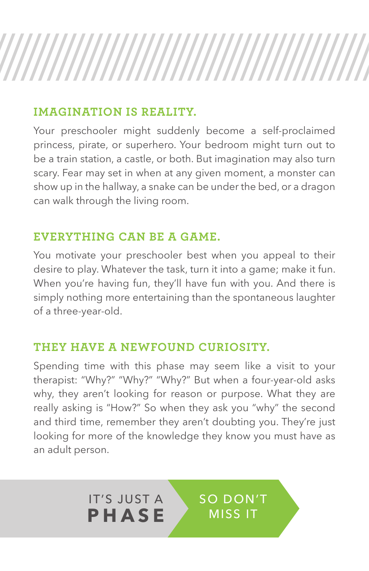#### **IMAGINATION IS REALITY.**

Your preschooler might suddenly become a self-proclaimed princess, pirate, or superhero. Your bedroom might turn out to be a train station, a castle, or both. But imagination may also turn scary. Fear may set in when at any given moment, a monster can show up in the hallway, a snake can be under the bed, or a dragon can walk through the living room.

#### **EVERYTHING CAN BE A GAME.**

IT'S JUST A **PHASE**

You motivate your preschooler best when you appeal to their desire to play. Whatever the task, turn it into a game; make it fun. When you're having fun, they'll have fun with you. And there is simply nothing more entertaining than the spontaneous laughter of a three-year-old.

#### **THEY HAVE A NEWFOUND CURIOSITY.**

Spending time with this phase may seem like a visit to your therapist: "Why?" "Why?" "Why?" But when a four-year-old asks why, they aren't looking for reason or purpose. What they are really asking is "How?" So when they ask you "why" the second and third time, remember they aren't doubting you. They're just looking for more of the knowledge they know you must have as an adult person.

> **SO DON'T** MISS IT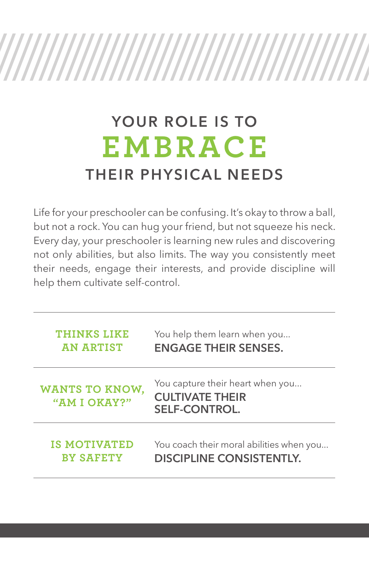# 

### **YOUR ROLE IS TO EMBRACE THEIR PHYSICAL NEEDS**

Life for your preschooler can be confusing. It's okay to throw a ball, but not a rock. You can hug your friend, but not squeeze his neck. Every day, your preschooler is learning new rules and discovering not only abilities, but also limits. The way you consistently meet their needs, engage their interests, and provide discipline will help them cultivate self-control.

| <b>THINKS LIKE</b>                    | You help them learn when you                                                       |  |
|---------------------------------------|------------------------------------------------------------------------------------|--|
| <b>AN ARTIST</b>                      | <b>ENGAGE THEIR SENSES.</b>                                                        |  |
| <b>WANTS TO KNOW,</b><br>"AM I OKAY?" | You capture their heart when you<br><b>CULTIVATE THEIR</b><br><b>SELF-CONTROL.</b> |  |
| IS MOTIVATED                          | You coach their moral abilities when you                                           |  |
| <b>BY SAFETY</b>                      | <b>DISCIPLINE CONSISTENTLY.</b>                                                    |  |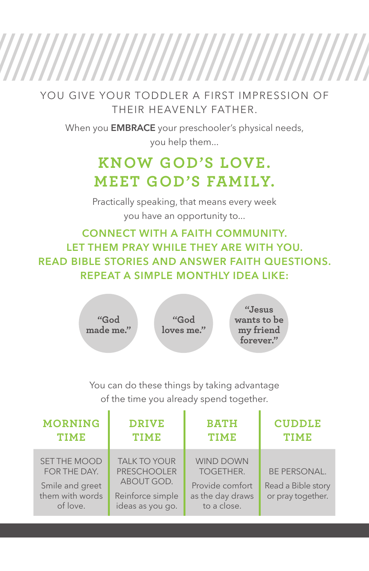YOU GIVE YOUR TODDLER A FIRST IMPRESSION OF THEIR HEAVENLY FATHER.

When you **EMBRACE** your preschooler's physical needs, you help them...

#### **KNOW GOD'S LOVE. MEET GOD'S FAMILY.**

Practically speaking, that means every week you have an opportunity to...

**CONNECT WITH A FAITH COMMUNITY. LET THEM PRAY WHILE THEY ARE WITH YOU. READ BIBLE STORIES AND ANSWER FAITH QUESTIONS. REPEAT A SIMPLE MONTHLY IDEA LIKE:**



You can do these things by taking advantage of the time you already spend together.

| <b>MORNING</b>                                                                 | <b>DRIVE</b>                                                                                    | <b>BATH</b>                                                                         | <b>CUDDLE</b>                                                  |
|--------------------------------------------------------------------------------|-------------------------------------------------------------------------------------------------|-------------------------------------------------------------------------------------|----------------------------------------------------------------|
| <b>TIME</b>                                                                    | <b>TIME</b>                                                                                     | <b>TIME</b>                                                                         | <b>TIME</b>                                                    |
| SET THE MOOD<br>FOR THE DAY.<br>Smile and greet<br>them with words<br>of love. | <b>TALK TO YOUR</b><br><b>PRESCHOOLER</b><br>ABOUT GOD.<br>Reinforce simple<br>ideas as you go. | <b>WIND DOWN</b><br>TOGETHER.<br>Provide comfort<br>as the day draws<br>to a close. | <b>BE PERSONAL.</b><br>Read a Bible story<br>or pray together. |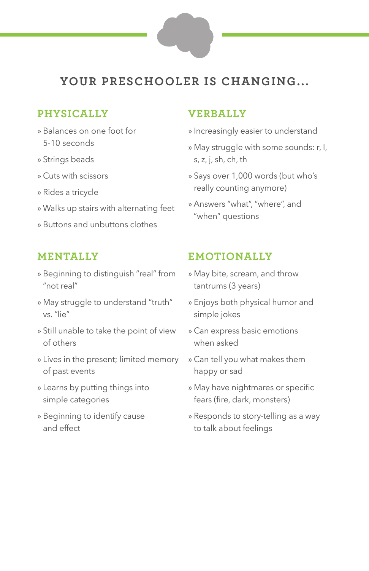#### **YOUR PRESCHOOLER IS CHANGING...**

#### **PHYSICALLY**

- » Balances on one foot for 5-10 seconds
- » Strings beads
- » Cuts with scissors
- » Rides a tricycle
- » Walks up stairs with alternating feet
- » Buttons and unbuttons clothes

#### **MENTALLY**

- » Beginning to distinguish "real" from "not real"
- » May struggle to understand "truth"  $vs$ <sup>"</sup>lie"
- » Still unable to take the point of view of others
- » Lives in the present; limited memory of past events
- » Learns by putting things into simple categories
- » Beginning to identify cause and effect

#### **VERBALLY**

- » Increasingly easier to understand
- » May struggle with some sounds: r, I, s, z, j, sh, ch, th
- » Says over 1,000 words (but who's really counting anymore)
- » Answers "what", "where", and "when" questions

#### **EMOTIONALLY**

- » May bite, scream, and throw tantrums (3 years)
- » Enjoys both physical humor and simple jokes
- » Can express basic emotions when asked
- » Can tell you what makes them happy or sad
- » May have nightmares or specific fears (fire, dark, monsters)
- » Responds to story-telling as a way to talk about feelings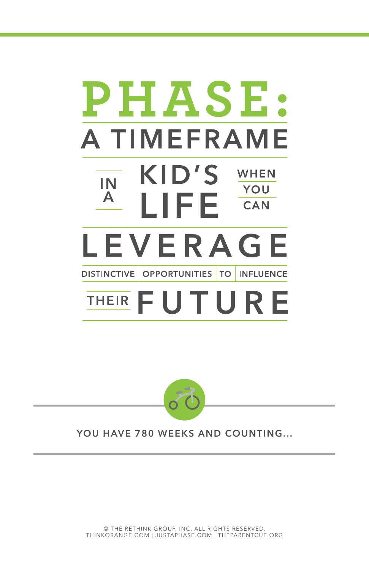### **PHASE: ATIMEFRAME** KID'S WHEN IN YOU  $\blacktriangle$  $L$   $F$   $F$   $\frac{100}{CAN}$ **LEVERAGE** DISTINCTIVE OPPORTUNITIES TO INFLUENCE THEIR FUTURE



**YOU HAVE 780 WEEKS AND COUNTING...**

© THE RETHINK GROUP, INC. ALL RIGHTS RESERVED. THINKORANGE.COM | JUSTAPHASE.COM | THEPARENTCUE.ORG